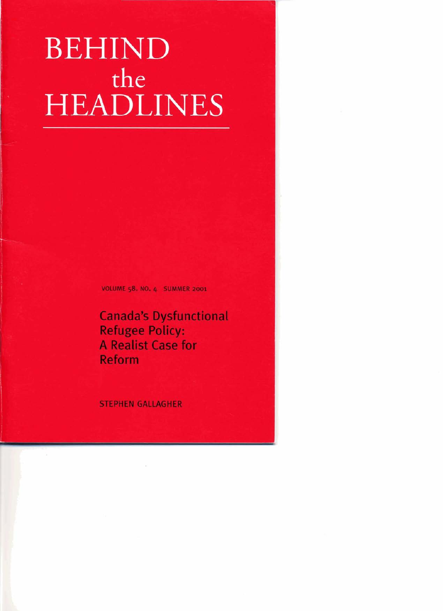# BEHIND the **HEADLINES**

**VOLUME 58. NO. 4 SUMMER 2001** 

**Canada's Dysfunctional Refugee Policy: A Realist Case for Reform** 

**STEPHEN GALLAGHER**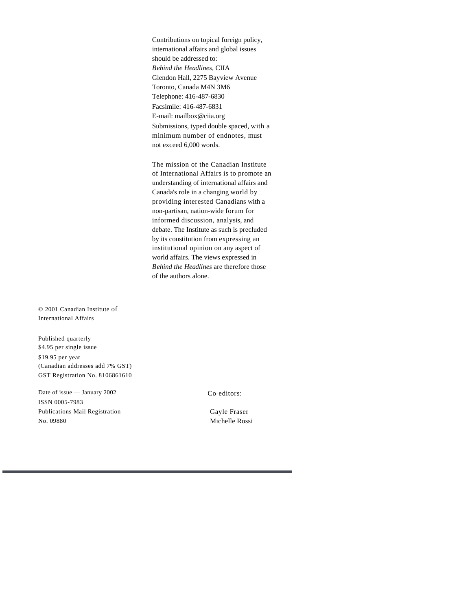Contributions on topical foreign policy, international affairs and global issues should be addressed to: *Behind the Headlines,* CIIA Glendon Hall, 2275 Bayview Avenue Toronto, Canada M4N 3M6 Telephone: 416-487-6830 Facsimile: 416-487-6831 E-mail: mailbox@ciia.org Submissions, typed double spaced, with a minimum number of endnotes, must not exceed 6,000 words.

The mission of the Canadian Institute of International Affairs is to promote an understanding of international affairs and Canada's role in a changing world by providing interested Canadians with a non-partisan, nation-wide forum for informed discussion, analysis, and debate. The Institute as such is precluded by its constitution from expressing an institutional opinion on any aspect of world affairs. The views expressed in *Behind the Headlines* are therefore those of the authors alone.

© 2001 Canadian Institute of International Affairs

Published quarterly \$4.95 per single issue \$19.95 per year (Canadian addresses add 7% GST) GST Registration No. 8106861610

Date of issue — January 2002 ISSN 0005-7983 Publications Mail Registration No. 09880

Co-editors:

Gayle Fraser Michelle Rossi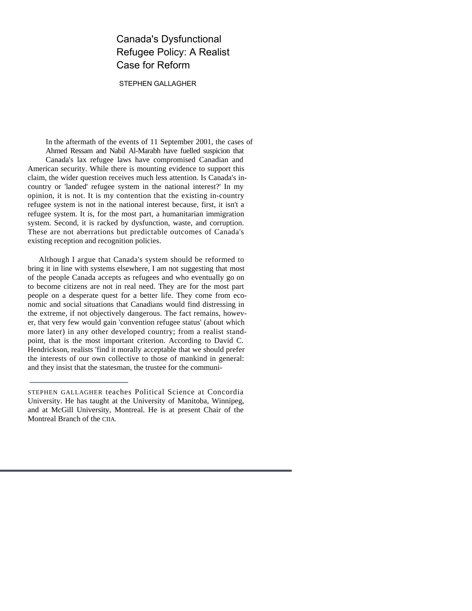### Canada's Dysfunctional Refugee Policy: A Realist Case for Reform

STEPHEN GALLAGHER

In the aftermath of the events of 11 September 2001, the cases of Ahmed Ressam and Nabil Al-Marabh have fuelled suspicion that Canada's lax refugee laws have compromised Canadian and American security. While there is mounting evidence to support this claim, the wider question receives much less attention. Is Canada's incountry or 'landed' refugee system in the national interest?' In my opinion, it is not. It is my contention that the existing in-country refugee system is not in the national interest because, first, it isn't a refugee system. It is, for the most part, a humanitarian immigration system. Second, it is racked by dysfunction, waste, and corruption. These are not aberrations but predictable outcomes of Canada's existing reception and recognition policies.

Although I argue that Canada's system should be reformed to bring it in line with systems elsewhere, I am not suggesting that most of the people Canada accepts as refugees and who eventually go on to become citizens are not in real need. They are for the most part people on a desperate quest for a better life. They come from economic and social situations that Canadians would find distressing in the extreme, if not objectively dangerous. The fact remains, however, that very few would gain 'convention refugee status' (about which more later) in any other developed country; from a realist standpoint, that is the most important criterion. According to David C. Hendrickson, realists 'find it morally acceptable that we should prefer the interests of our own collective to those of mankind in general: and they insist that the statesman, the trustee for the communi-

STEPHEN GALLAGHER teaches Political Science at Concordia University. He has taught at the University of Manitoba, Winnipeg, and at McGill University, Montreal. He is at present Chair of the Montreal Branch of the CIIA.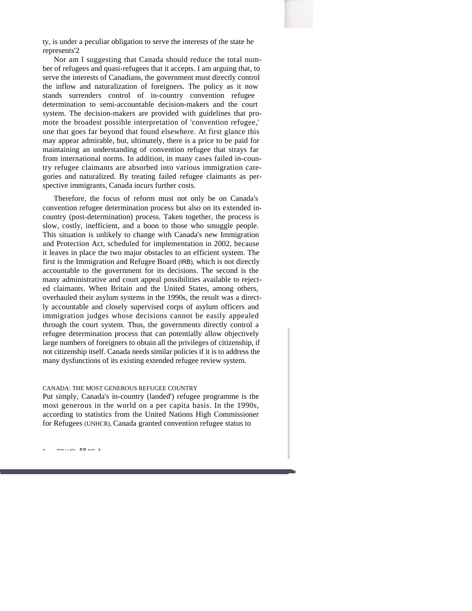ty, is under a peculiar obligation to serve the interests of the state he represents'2

Nor am I suggesting that Canada should reduce the total number of refugees and quasi-refugees that it accepts. I am arguing that, to serve the interests of Canadians, the government must directly control the inflow and naturalization of foreigners. The policy as it now stands surrenders control of in-country convention refugee determination to semi-accountable decision-makers and the court system. The decision-makers are provided with guidelines that promote the broadest possible interpretation of 'convention refugee,' one that goes far beyond that found elsewhere. At first glance this may appear admirable, but, ultimately, there is a price to be paid for maintaining an understanding of convention refugee that strays far from international norms. In addition, in many cases failed in-country refugee claimants are absorbed into various immigration categories and naturalized. By treating failed refugee claimants as perspective immigrants, Canada incurs further costs.

Therefore, the focus of reform must not only be on Canada's convention refugee determination process but also on its extended incountry (post-determination) process. Taken together, the process is slow, costly, inefficient, and a boon to those who smuggle people. This situation is unlikely to change with Canada's new Immigration and Protection Act, scheduled for implementation in 2002, because it leaves in place the two major obstacles to an efficient system. The first is the Immigration and Refugee Board (IRB), which is not directly accountable to the government for its decisions. The second is the many administrative and court appeal possibilities available to rejected claimants. When Britain and the United States, among others, overhauled their asylum systems in the 1990s, the result was a directly accountable and closely supervised corps of asylum officers and immigration judges whose decisions cannot be easily appealed through the court system. Thus, the governments directly control a refugee determination process that can potentially allow objectively large numbers of foreigners to obtain all the privileges of citizenship, if not citizenship itself. Canada needs similar policies if it is to address the many dysfunctions of its existing extended refugee review system.

#### CANADA: THE MOST GENEROUS REFUGEE COUNTRY

Put simply, Canada's in-country (landed') refugee programme is the most generous in the world on a per capita basis. In the 1990s, according to statistics from the United Nations High Commissioner for Refugees (UNHCR), Canada granted convention refugee status to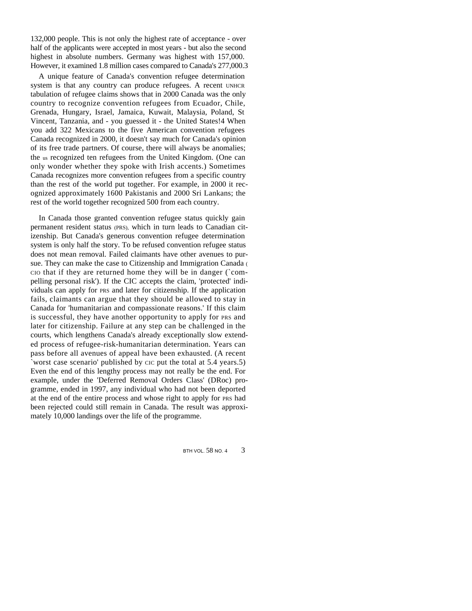132,000 people. This is not only the highest rate of acceptance - over half of the applicants were accepted in most years - but also the second highest in absolute numbers. Germany was highest with 157,000. However, it examined 1.8 million cases compared to Canada's 277,000.3

A unique feature of Canada's convention refugee determination system is that any country can produce refugees. A recent UNHCR tabulation of refugee claims shows that in 2000 Canada was the only country to recognize convention refugees from Ecuador, Chile, Grenada, Hungary, Israel, Jamaica, Kuwait, Malaysia, Poland, St Vincent, Tanzania, and - you guessed it - the United States!4 When you add 322 Mexicans to the five American convention refugees Canada recognized in 2000, it doesn't say much for Canada's opinion of its free trade partners. Of course, there will always be anomalies; the us recognized ten refugees from the United Kingdom. (One can only wonder whether they spoke with Irish accents.) Sometimes Canada recognizes more convention refugees from a specific country than the rest of the world put together. For example, in 2000 it recognized approximately 1600 Pakistanis and 2000 Sri Lankans; the rest of the world together recognized 500 from each country.

In Canada those granted convention refugee status quickly gain permanent resident status (PRS), which in turn leads to Canadian citizenship. But Canada's generous convention refugee determination system is only half the story. To be refused convention refugee status does not mean removal. Failed claimants have other avenues to pursue. They can make the case to Citizenship and Immigration Canada ( CIO that if they are returned home they will be in danger (`compelling personal risk'). If the CIC accepts the claim, 'protected' individuals can apply for PRS and later for citizenship. If the application fails, claimants can argue that they should be allowed to stay in Canada for 'humanitarian and compassionate reasons.' If this claim is successful, they have another opportunity to apply for PRS and later for citizenship. Failure at any step can be challenged in the courts, which lengthens Canada's already exceptionally slow extended process of refugee-risk-humanitarian determination. Years can pass before all avenues of appeal have been exhausted. (A recent `worst case scenario' published by CIC put the total at 5.4 years.5) Even the end of this lengthy process may not really be the end. For example, under the 'Deferred Removal Orders Class' (DRoc) programme, ended in 1997, any individual who had not been deported at the end of the entire process and whose right to apply for PRS had been rejected could still remain in Canada. The result was approximately 10,000 landings over the life of the programme.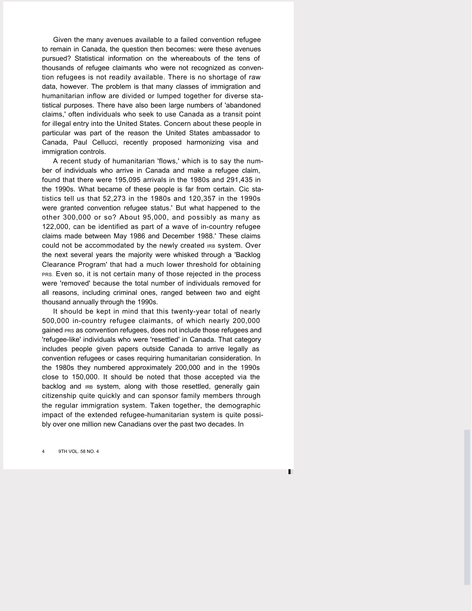Given the many avenues available to a failed convention refugee to remain in Canada, the question then becomes: were these avenues pursued? Statistical information on the whereabouts of the tens of thousands of refugee claimants who were not recognized as convention refugees is not readily available. There is no shortage of raw data, however. The problem is that many classes of immigration and humanitarian inflow are divided or lumped together for diverse statistical purposes. There have also been large numbers of 'abandoned claims,' often individuals who seek to use Canada as a transit point for illegal entry into the United States. Concern about these people in particular was part of the reason the United States ambassador to Canada, Paul Cellucci, recently proposed harmonizing visa and immigration controls.

A recent study of humanitarian 'flows,' which is to say the number of individuals who arrive in Canada and make a refugee claim, found that there were 195,095 arrivals in the 1980s and 291,435 in the 1990s. What became of these people is far from certain. Cic statistics tell us that 52,273 in the 1980s and 120,357 in the 1990s were granted convention refugee status.' But what happened to the other 300,000 or so? About 95,000, and possibly as many as 122,000, can be identified as part of a wave of in-country refugee claims made between May 1986 and December 1988.' These claims could not be accommodated by the newly created IRB system. Over the next several years the majority were whisked through a 'Backlog Clearance Program' that had a much lower threshold for obtaining PRS. Even so, it is not certain many of those rejected in the process were 'removed' because the total number of individuals removed for all reasons, including criminal ones, ranged between two and eight thousand annually through the 1990s.

It should be kept in mind that this twenty-year total of nearly 500,000 in-country refugee claimants, of which nearly 200,000 gained PRS as convention refugees, does not include those refugees and 'refugee-like' individuals who were 'resettled' in Canada. That category includes people given papers outside Canada to arrive legally as convention refugees or cases requiring humanitarian consideration. In the 1980s they numbered approximately 200,000 and in the 1990s close to 150,000. It should be noted that those accepted via the backlog and **IRB** system, along with those resettled, generally gain citizenship quite quickly and can sponsor family members through the regular immigration system. Taken together, the demographic impact of the extended refugee-humanitarian system is quite possibly over one million new Canadians over the past two decades. In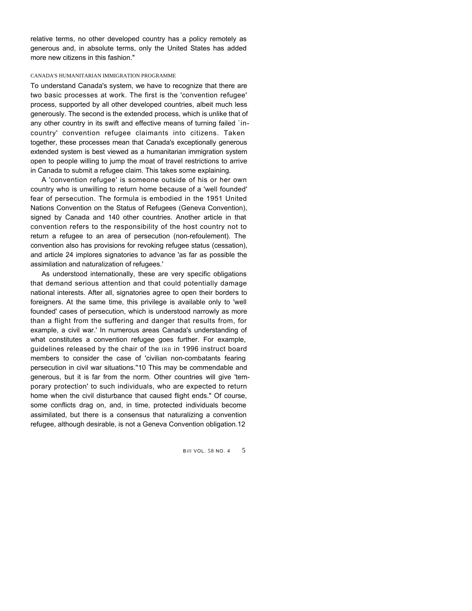relative terms, no other developed country has a policy remotely as generous and, in absolute terms, only the United States has added more new citizens in this fashion."

#### CANADA'S HUMANITARIAN IMMIGRATION PROGRAMME

To understand Canada's system, we have to recognize that there are two basic processes at work. The first is the 'convention refugee' process, supported by all other developed countries, albeit much less generously. The second is the extended process, which is unlike that of any other country in its swift and effective means of turning failed `incountry' convention refugee claimants into citizens. Taken together, these processes mean that Canada's exceptionally generous extended system is best viewed as a humanitarian immigration system open to people willing to jump the moat of travel restrictions to arrive in Canada to submit a refugee claim. This takes some explaining.

A 'convention refugee' is someone outside of his or her own country who is unwilling to return home because of a 'well founded' fear of persecution. The formula is embodied in the 1951 United Nations Convention on the Status of Refugees (Geneva Convention), signed by Canada and 140 other countries. Another article in that convention refers to the responsibility of the host country not to return a refugee to an area of persecution (non-refoulement). The convention also has provisions for revoking refugee status (cessation), and article 24 implores signatories to advance 'as far as possible the assimilation and naturalization of refugees.'

As understood internationally, these are very specific obligations that demand serious attention and that could potentially damage national interests. After all, signatories agree to open their borders to foreigners. At the same time, this privilege is available only to 'well founded' cases of persecution, which is understood narrowly as more than a flight from the suffering and danger that results from, for example, a civil war.' In numerous areas Canada's understanding of what constitutes a convention refugee goes further. For example, guidelines released by the chair of the IRB in 1996 instruct board members to consider the case of 'civilian non-combatants fearing persecution in civil war situations.''10 This may be commendable and generous, but it is far from the norm. Other countries will give 'temporary protection' to such individuals, who are expected to return home when the civil disturbance that caused flight ends." Of course, some conflicts drag on, and, in time, protected individuals become assimilated, but there is a consensus that naturalizing a convention refugee, although desirable, is not a Geneva Convention obligation.12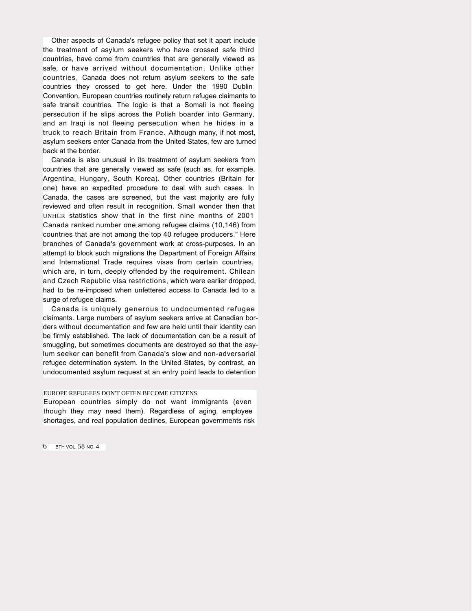Other aspects of Canada's refugee policy that set it apart include the treatment of asylum seekers who have crossed safe third countries, have come from countries that are generally viewed as safe, or have arrived without documentation. Unlike other countries, Canada does not return asylum seekers to the safe countries they crossed to get here. Under the 1990 Dublin Convention, European countries routinely return refugee claimants to safe transit countries. The logic is that a Somali is not fleeing persecution if he slips across the Polish boarder into Germany, and an Iraqi is not fleeing persecution when he hides in a truck to reach Britain from France. Although many, if not most, asylum seekers enter Canada from the United States, few are turned back at the border.

Canada is also unusual in its treatment of asylum seekers from countries that are generally viewed as safe (such as, for example, Argentina, Hungary, South Korea). Other countries (Britain for one) have an expedited procedure to deal with such cases. In Canada, the cases are screened, but the vast majority are fully reviewed and often result in recognition. Small wonder then that UNHCR statistics show that in the first nine months of 2001 Canada ranked number one among refugee claims (10,146) from countries that are not among the top 40 refugee producers." Here branches of Canada's government work at cross-purposes. In an attempt to block such migrations the Department of Foreign Affairs and International Trade requires visas from certain countries, which are, in turn, deeply offended by the requirement. Chilean and Czech Republic visa restrictions, which were earlier dropped, had to be re-imposed when unfettered access to Canada led to a surge of refugee claims.

Canada is uniquely generous to undocumented refugee claimants. Large numbers of asylum seekers arrive at Canadian borders without documentation and few are held until their identity can be firmly established. The lack of documentation can be a result of smuggling, but sometimes documents are destroyed so that the asylum seeker can benefit from Canada's slow and non-adversarial refugee determination system. In the United States, by contrast, an undocumented asylum request at an entry point leads to detention

#### EUROPE REFUGEES DON'T OFTEN BECOME CITIZENS

European countries simply do not want immigrants (even though they may need them). Regardless of aging, employee shortages, and real population declines, European governments risk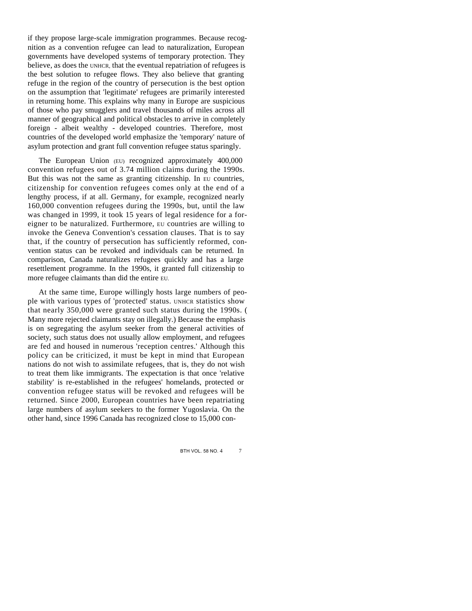if they propose large-scale immigration programmes. Because recognition as a convention refugee can lead to naturalization, European governments have developed systems of temporary protection. They believe, as does the UNHCR, that the eventual repatriation of refugees is the best solution to refugee flows. They also believe that granting refuge in the region of the country of persecution is the best option on the assumption that 'legitimate' refugees are primarily interested in returning home. This explains why many in Europe are suspicious of those who pay smugglers and travel thousands of miles across all manner of geographical and political obstacles to arrive in completely foreign - albeit wealthy - developed countries. Therefore, most countries of the developed world emphasize the 'temporary' nature of asylum protection and grant full convention refugee status sparingly.

The European Union (EU) recognized approximately 400,000 convention refugees out of 3.74 million claims during the 1990s. But this was not the same as granting citizenship. In EU countries, citizenship for convention refugees comes only at the end of a lengthy process, if at all. Germany, for example, recognized nearly 160,000 convention refugees during the 1990s, but, until the law was changed in 1999, it took 15 years of legal residence for a foreigner to be naturalized. Furthermore, EU countries are willing to invoke the Geneva Convention's cessation clauses. That is to say that, if the country of persecution has sufficiently reformed, convention status can be revoked and individuals can be returned. In comparison, Canada naturalizes refugees quickly and has a large resettlement programme. In the 1990s, it granted full citizenship to more refugee claimants than did the entire EU.

At the same time, Europe willingly hosts large numbers of people with various types of 'protected' status. UNHCR statistics show that nearly 350,000 were granted such status during the 1990s. ( Many more rejected claimants stay on illegally.) Because the emphasis is on segregating the asylum seeker from the general activities of society, such status does not usually allow employment, and refugees are fed and housed in numerous 'reception centres.' Although this policy can be criticized, it must be kept in mind that European nations do not wish to assimilate refugees, that is, they do not wish to treat them like immigrants. The expectation is that once 'relative stability' is re-established in the refugees' homelands, protected or convention refugee status will be revoked and refugees will be returned. Since 2000, European countries have been repatriating large numbers of asylum seekers to the former Yugoslavia. On the other hand, since 1996 Canada has recognized close to 15,000 con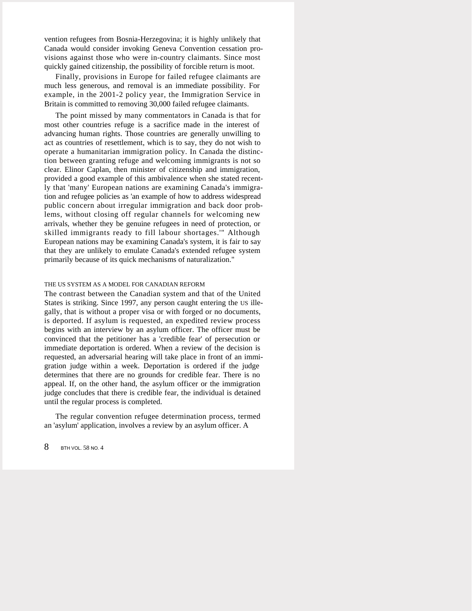vention refugees from Bosnia-Herzegovina; it is highly unlikely that Canada would consider invoking Geneva Convention cessation provisions against those who were in-country claimants. Since most quickly gained citizenship, the possibility of forcible return is moot.

Finally, provisions in Europe for failed refugee claimants are much less generous, and removal is an immediate possibility. For example, in the 2001-2 policy year, the Immigration Service in Britain is committed to removing 30,000 failed refugee claimants.

The point missed by many commentators in Canada is that for most other countries refuge is a sacrifice made in the interest of advancing human rights. Those countries are generally unwilling to act as countries of resettlement, which is to say, they do not wish to operate a humanitarian immigration policy. In Canada the distinction between granting refuge and welcoming immigrants is not so clear. Elinor Caplan, then minister of citizenship and immigration, provided a good example of this ambivalence when she stated recently that 'many' European nations are examining Canada's immigration and refugee policies as 'an example of how to address widespread public concern about irregular immigration and back door problems, without closing off regular channels for welcoming new arrivals, whether they be genuine refugees in need of protection, or skilled immigrants ready to fill labour shortages.'" Although European nations may be examining Canada's system, it is fair to say that they are unlikely to emulate Canada's extended refugee system primarily because of its quick mechanisms of naturalization."

#### THE US SYSTEM AS A MODEL FOR CANADIAN REFORM

The contrast between the Canadian system and that of the United States is striking. Since 1997, any person caught entering the US illegally, that is without a proper visa or with forged or no documents, is deported. If asylum is requested, an expedited review process begins with an interview by an asylum officer. The officer must be convinced that the petitioner has a 'credible fear' of persecution or immediate deportation is ordered. When a review of the decision is requested, an adversarial hearing will take place in front of an immigration judge within a week. Deportation is ordered if the judge determines that there are no grounds for credible fear. There is no appeal. If, on the other hand, the asylum officer or the immigration judge concludes that there is credible fear, the individual is detained until the regular process is completed.

The regular convention refugee determination process, termed an 'asylum' application, involves a review by an asylum officer. A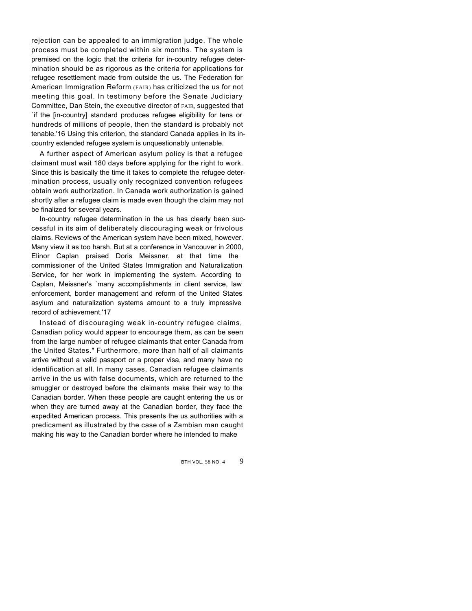rejection can be appealed to an immigration judge. The whole process must be completed within six months. The system is premised on the logic that the criteria for in-country refugee determination should be as rigorous as the criteria for applications for refugee resettlement made from outside the us. The Federation for American Immigration Reform (FAIR) has criticized the us for not meeting this goal. In testimony before the Senate Judiciary Committee, Dan Stein, the executive director of FAIR, suggested that `if the [in-country] standard produces refugee eligibility for tens or hundreds of millions of people, then the standard is probably not tenable.'16 Using this criterion, the standard Canada applies in its incountry extended refugee system is unquestionably untenable.

A further aspect of American asylum policy is that a refugee claimant must wait 180 days before applying for the right to work. Since this is basically the time it takes to complete the refugee determination process, usually only recognized convention refugees obtain work authorization. In Canada work authorization is gained shortly after a refugee claim is made even though the claim may not be finalized for several years.

In-country refugee determination in the us has clearly been successful in its aim of deliberately discouraging weak or frivolous claims. Reviews of the American system have been mixed, however. Many view it as too harsh. But at a conference in Vancouver in 2000, Elinor Caplan praised Doris Meissner, at that time the commissioner of the United States Immigration and Naturalization Service, for her work in implementing the system. According to Caplan, Meissner's `many accomplishments in client service, law enforcement, border management and reform of the United States asylum and naturalization systems amount to a truly impressive record of achievement.'17

Instead of discouraging weak in-country refugee claims, Canadian policy would appear to encourage them, as can be seen from the large number of refugee claimants that enter Canada from the United States." Furthermore, more than half of all claimants arrive without a valid passport or a proper visa, and many have no identification at all. In many cases, Canadian refugee claimants arrive in the us with false documents, which are returned to the smuggler or destroyed before the claimants make their way to the Canadian border. When these people are caught entering the us or when they are turned away at the Canadian border, they face the expedited American process. This presents the us authorities with a predicament as illustrated by the case of a Zambian man caught making his way to the Canadian border where he intended to make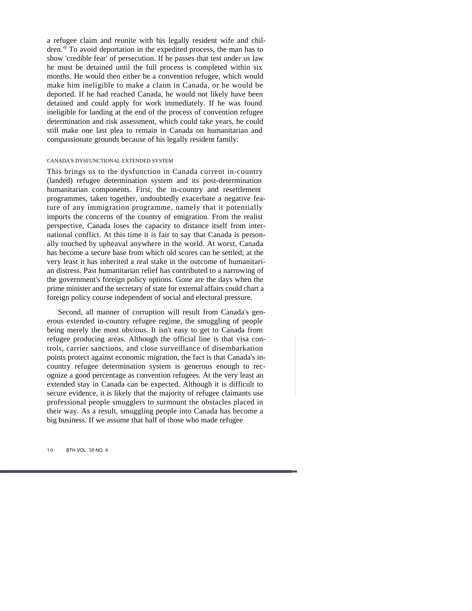a refugee claim and reunite with his legally resident wife and children.'<sup>9</sup> To avoid deportation in the expedited process, the man has to show 'credible fear' of persecution. If he passes that test under us law he must be detained until the full process is completed within six months. He would then either be a convention refugee, which would make him ineligible to make a claim in Canada, or he would be deported. If he had reached Canada, he would not likely have been detained and could apply for work immediately. If he was found ineligible for landing at the end of the process of convention refugee determination and risk assessment, which could take years, he could still make one last plea to remain in Canada on humanitarian and compassionate grounds because of his legally resident family.

#### CANADA'S DYSFUNCTIONAL EXTENDED SYSTEM

This brings us to the dysfunction in Canada current in-country (landed) refugee determination system and its post-determination humanitarian components. First, the in-country and resettlement programmes, taken together, undoubtedly exacerbate a negative feature of any immigration programme, namely that it potentially imports the concerns of the country of emigration. From the realist perspective, Canada loses the capacity to distance itself from international conflict. At this time it is fair to say that Canada is personally touched by upheaval anywhere in the world. At worst, Canada has become a secure base from which old scores can be settled; at the very least it has inherited a real stake in the outcome of humanitarian distress. Past humanitarian relief has contributed to a narrowing of the government's foreign policy options. Gone are the days when the prime minister and the secretary of state for external affairs could chart a foreign policy course independent of social and electoral pressure.

Second, all manner of corruption will result from Canada's generous extended in-country refugee regime, the smuggling of people being merely the most obvious. It isn't easy to get to Canada from refugee producing areas. Although the official line is that visa controls, carrier sanctions, and close surveillance of disembarkation points protect against economic migration, the fact is that Canada's incountry refugee determination system is generous enough to recognize a good percentage as convention refugees. At the very least an extended stay in Canada can be expected. Although it is difficult to secure evidence, it is likely that the majority of refugee claimants use professional people smugglers to surmount the obstacles placed in their way. As a result, smuggling people into Canada has become a big business. If we assume that half of those who made refugee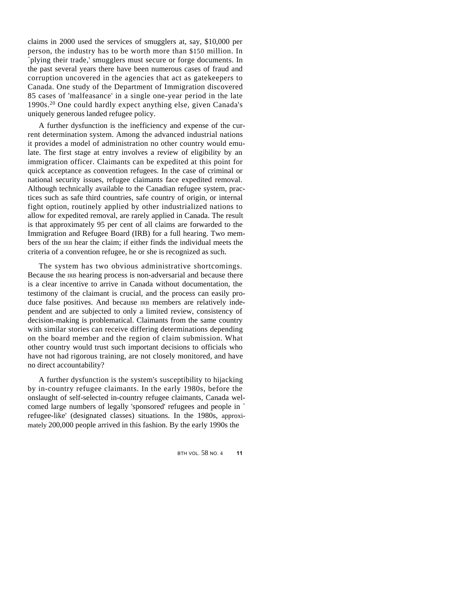claims in 2000 used the services of smugglers at, say, \$10,000 per person, the industry has to be worth more than \$150 million. In `plying their trade,' smugglers must secure or forge documents. In the past several years there have been numerous cases of fraud and corruption uncovered in the agencies that act as gatekeepers to Canada. One study of the Department of Immigration discovered 85 cases of 'malfeasance' in a single one-year period in the late 1990s.<sup>20</sup> One could hardly expect anything else, given Canada's uniquely generous landed refugee policy.

A further dysfunction is the inefficiency and expense of the current determination system. Among the advanced industrial nations it provides a model of administration no other country would emulate. The first stage at entry involves a review of eligibility by an immigration officer. Claimants can be expedited at this point for quick acceptance as convention refugees. In the case of criminal or national security issues, refugee claimants face expedited removal. Although technically available to the Canadian refugee system, practices such as safe third countries, safe country of origin, or internal fight option, routinely applied by other industrialized nations to allow for expedited removal, are rarely applied in Canada. The result is that approximately 95 per cent of all claims are forwarded to the Immigration and Refugee Board (IRB) for a full hearing. Two members of the IRB hear the claim; if either finds the individual meets the criteria of a convention refugee, he or she is recognized as such.

The system has two obvious administrative shortcomings. Because the IRB hearing process is non-adversarial and because there is a clear incentive to arrive in Canada without documentation, the testimony of the claimant is crucial, and the process can easily produce false positives. And because IRB members are relatively independent and are subjected to only a limited review, consistency of decision-making is problematical. Claimants from the same country with similar stories can receive differing determinations depending on the board member and the region of claim submission. What other country would trust such important decisions to officials who have not had rigorous training, are not closely monitored, and have no direct accountability?

A further dysfunction is the system's susceptibility to hijacking by in-country refugee claimants. In the early 1980s, before the onslaught of self-selected in-country refugee claimants, Canada welcomed large numbers of legally 'sponsored' refugees and people in ` refugee-like' (designated classes) situations. In the 1980s, approximately 200,000 people arrived in this fashion. By the early 1990s the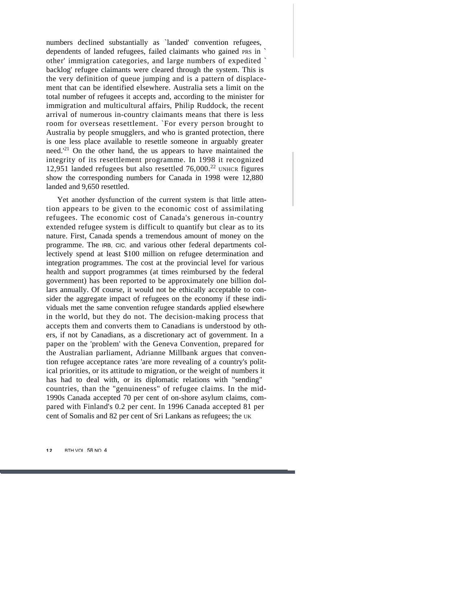numbers declined substantially as `landed' convention refugees, dependents of landed refugees, failed claimants who gained PRS in ` other' immigration categories, and large numbers of expedited ` backlog' refugee claimants were cleared through the system. This is the very definition of queue jumping and is a pattern of displacement that can be identified elsewhere. Australia sets a limit on the total number of refugees it accepts and, according to the minister for immigration and multicultural affairs, Philip Ruddock, the recent arrival of numerous in-country claimants means that there is less room for overseas resettlement. `For every person brought to Australia by people smugglers, and who is granted protection, there is one less place available to resettle someone in arguably greater need.'<sup>21</sup> On the other hand, the us appears to have maintained the integrity of its resettlement programme. In 1998 it recognized 12,951 landed refugees but also resettled 76,000.<sup>22</sup> UNHCR figures show the corresponding numbers for Canada in 1998 were 12,880 landed and 9,650 resettled.

Yet another dysfunction of the current system is that little attention appears to be given to the economic cost of assimilating refugees. The economic cost of Canada's generous in-country extended refugee system is difficult to quantify but clear as to its nature. First, Canada spends a tremendous amount of money on the programme. The IRB, CIC, and various other federal departments collectively spend at least \$100 million on refugee determination and integration programmes. The cost at the provincial level for various health and support programmes (at times reimbursed by the federal government) has been reported to be approximately one billion dollars annually. Of course, it would not be ethically acceptable to consider the aggregate impact of refugees on the economy if these individuals met the same convention refugee standards applied elsewhere in the world, but they do not. The decision-making process that accepts them and converts them to Canadians is understood by others, if not by Canadians, as a discretionary act of government. In a paper on the 'problem' with the Geneva Convention, prepared for the Australian parliament, Adrianne Millbank argues that convention refugee acceptance rates 'are more revealing of a country's political priorities, or its attitude to migration, or the weight of numbers it has had to deal with, or its diplomatic relations with "sending" countries, than the "genuineness" of refugee claims. In the mid-1990s Canada accepted 70 per cent of on-shore asylum claims, compared with Finland's 0.2 per cent. In 1996 Canada accepted 81 per cent of Somalis and 82 per cent of Sri Lankans as refugees; the UK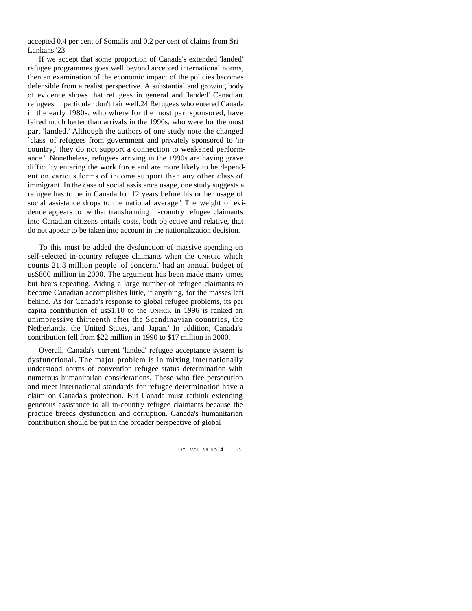accepted 0.4 per cent of Somalis and 0.2 per cent of claims from Sri Lankans.'23

If we accept that some proportion of Canada's extended 'landed' refugee programmes goes well beyond accepted international norms, then an examination of the economic impact of the policies becomes defensible from a realist perspective. A substantial and growing body of evidence shows that refugees in general and 'landed' Canadian refugees in particular don't fair well.24 Refugees who entered Canada in the early 1980s, who where for the most part sponsored, have faired much better than arrivals in the 1990s, who were for the most part 'landed.' Although the authors of one study note the changed `class' of refugees from government and privately sponsored to 'incountry,' they do not support a connection to weakened performance." Nonetheless, refugees arriving in the 1990s are having grave difficulty entering the work force and are more likely to be dependent on various forms of income support than any other class of immigrant. In the case of social assistance usage, one study suggests a refugee has to be in Canada for 12 years before his or her usage of social assistance drops to the national average.' The weight of evidence appears to be that transforming in-country refugee claimants into Canadian citizens entails costs, both objective and relative, that do not appear to be taken into account in the nationalization decision.

To this must be added the dysfunction of massive spending on self-selected in-country refugee claimants when the UNHCR, which counts 21.8 million people 'of concern,' had an annual budget of us\$800 million in 2000. The argument has been made many times but bears repeating. Aiding a large number of refugee claimants to become Canadian accomplishes little, if anything, for the masses left behind. As for Canada's response to global refugee problems, its per capita contribution of us\$1.10 to the UNHCR in 1996 is ranked an unimpressive thirteenth after the Scandinavian countries, the Netherlands, the United States, and Japan.' In addition, Canada's contribution fell from \$22 million in 1990 to \$17 million in 2000.

Overall, Canada's current 'landed' refugee acceptance system is dysfunctional. The major problem is in mixing internationally understood norms of convention refugee status determination with numerous humanitarian considerations. Those who flee persecution and meet international standards for refugee determination have a claim on Canada's protection. But Canada must rethink extending generous assistance to all in-country refugee claimants because the practice breeds dysfunction and corruption. Canada's humanitarian contribution should be put in the broader perspective of global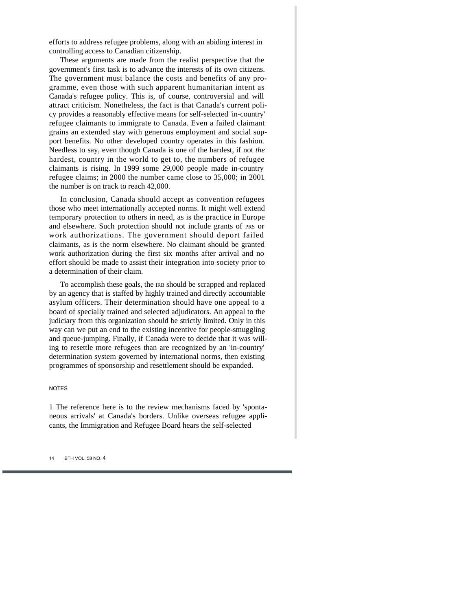efforts to address refugee problems, along with an abiding interest in controlling access to Canadian citizenship.

These arguments are made from the realist perspective that the government's first task is to advance the interests of its own citizens. The government must balance the costs and benefits of any programme, even those with such apparent humanitarian intent as Canada's refugee policy. This is, of course, controversial and will attract criticism. Nonetheless, the fact is that Canada's current policy provides a reasonably effective means for self-selected 'in-country' refugee claimants to immigrate to Canada. Even a failed claimant grains an extended stay with generous employment and social support benefits. No other developed country operates in this fashion. Needless to say, even though Canada is one of the hardest, if not *the*  hardest, country in the world to get to, the numbers of refugee claimants is rising. In 1999 some 29,000 people made in-country refugee claims; in 2000 the number came close to 35,000; in 2001 the number is on track to reach 42,000.

In conclusion, Canada should accept as convention refugees those who meet internationally accepted norms. It might well extend temporary protection to others in need, as is the practice in Europe and elsewhere. Such protection should not include grants of PRS or work authorizations. The government should deport failed claimants, as is the norm elsewhere. No claimant should be granted work authorization during the first six months after arrival and no effort should be made to assist their integration into society prior to a determination of their claim.

To accomplish these goals, the IRB should be scrapped and replaced by an agency that is staffed by highly trained and directly accountable asylum officers. Their determination should have one appeal to a board of specially trained and selected adjudicators. An appeal to the judiciary from this organization should be strictly limited. Only in this way can we put an end to the existing incentive for people-smuggling and queue-jumping. Finally, if Canada were to decide that it was willing to resettle more refugees than are recognized by an 'in-country' determination system governed by international norms, then existing programmes of sponsorship and resettlement should be expanded.

#### NOTES

1 The reference here is to the review mechanisms faced by 'spontaneous arrivals' at Canada's borders. Unlike overseas refugee applicants, the Immigration and Refugee Board hears the self-selected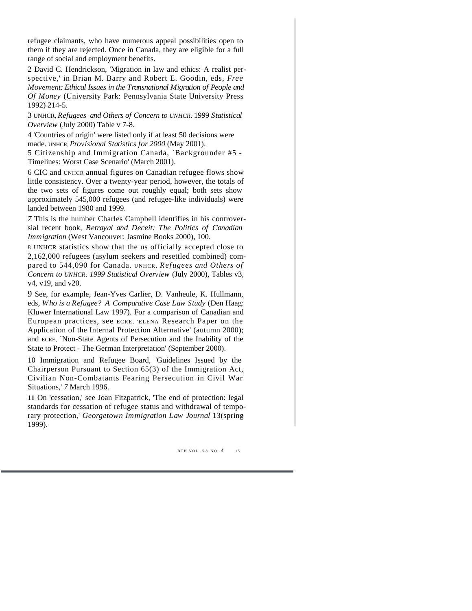refugee claimants, who have numerous appeal possibilities open to them if they are rejected. Once in Canada, they are eligible for a full range of social and employment benefits.

2 David C. Hendrickson, 'Migration in law and ethics: A realist perspective,' in Brian M. Barry and Robert E. Goodin, eds, *Free Movement: Ethical Issues in the Transnational Migration of People and Of Money* (University Park: Pennsylvania State University Press 1992) 214-5.

3 UNHCR, *Refugees and Others of Concern to UNHCR:* 1999 *Statistical Overview* (July 2000) Table v 7-8.

4 'Countries of origin' were listed only if at least 50 decisions were made. UNHCR, *Provisional Statistics for 2000* (May 2001).

5 Citizenship and Immigration Canada, `Backgrounder #5 - Timelines: Worst Case Scenario' (March 2001).

6 CIC and UNHCR annual figures on Canadian refugee flows show little consistency. Over a twenty-year period, however, the totals of the two sets of figures come out roughly equal; both sets show approximately 545,000 refugees (and refugee-like individuals) were landed between 1980 and 1999.

*7* This is the number Charles Campbell identifies in his controversial recent book, *Betrayal and Deceit: The Politics of Canadian Immigration* (West Vancouver: Jasmine Books 2000), 100.

8 UNHCR statistics show that the us officially accepted close to 2,162,000 refugees (asylum seekers and resettled combined) compared to 544,090 for Canada. UNHCR, *Refugees and Others of Concern to UNHCR: 1999 Statistical Overview* (July 2000), Tables v3, v4, v19, and v20.

9 See, for example, Jean-Yves Carlier, D. Vanheule, K. Hullmann, eds, *Who is a Refugee? A Comparative Case Law Study* (Den Haag: Kluwer International Law 1997). For a comparison of Canadian and European practices, see ECRE, 'ELENA Research Paper on the Application of the Internal Protection Alternative' (autumn 2000); and ECRE, `Non-State Agents of Persecution and the Inability of the State to Protect - The German Interpretation' (September 2000).

10 Immigration and Refugee Board, 'Guidelines Issued by the Chairperson Pursuant to Section 65(3) of the Immigration Act, Civilian Non-Combatants Fearing Persecution in Civil War Situations,' *7* March 1996.

**11** On 'cessation,' see Joan Fitzpatrick, 'The end of protection: legal standards for cessation of refugee status and withdrawal of temporary protection,' *Georgetown Immigration Law Journal* 13(spring 1999).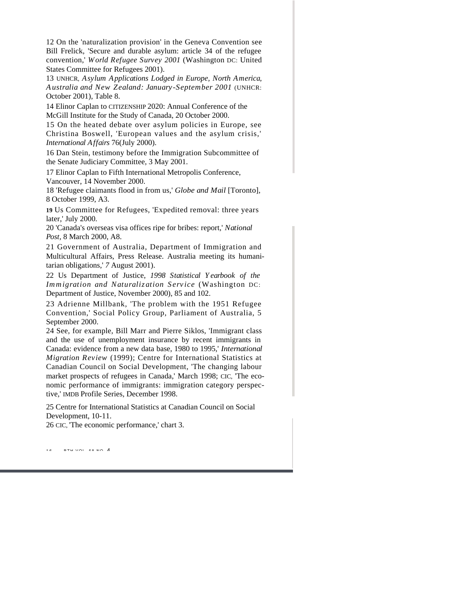12 On the 'naturalization provision' in the Geneva Convention see Bill Frelick, 'Secure and durable asylum: article 34 of the refugee convention,' *World Refugee Survey 2001* (Washington DC: United States Committee for Refugees 2001).

13 UNHCR, *Asylum Applications Lodged in Europe, North America, Australia and New Zealand: January-September 2001* (UNHCR: October 2001), Table 8.

14 Elinor Caplan to CITIZENSHIP 2020: Annual Conference of the McGill Institute for the Study of Canada, 20 October 2000.

15 On the heated debate over asylum policies in Europe, see Christina Boswell, 'European values and the asylum crisis,' *International Affairs* 76(July 2000).

16 Dan Stein, testimony before the Immigration Subcommittee of the Senate Judiciary Committee, 3 May 2001.

17 Elinor Caplan to Fifth International Metropolis Conference, Vancouver, 14 November 2000.

18 'Refugee claimants flood in from us,' *Globe and Mail* [Toronto], 8 October 1999, A3.

**19** Us Committee for Refugees, 'Expedited removal: three years later,' July 2000.

20 'Canada's overseas visa offices ripe for bribes: report,' *National Post,* 8 March 2000, A8.

21 Government of Australia, Department of Immigration and Multicultural Affairs, Press Release. Australia meeting its humanitarian obligations,' *7* August 2001).

22 Us Department of Justice, *1998 Statistical Yearbook of the Immigration and Naturalization Service* (Washington DC: Department of Justice, November 2000), 85 and 102.

23 Adrienne Millbank, 'The problem with the 1951 Refugee Convention,' Social Policy Group, Parliament of Australia, 5 September 2000.

24 See, for example, Bill Marr and Pierre Siklos, 'Immigrant class and the use of unemployment insurance by recent immigrants in Canada: evidence from a new data base, 1980 to 1995,' *International Migration Review* (1999); Centre for International Statistics at Canadian Council on Social Development, 'The changing labour market prospects of refugees in Canada,' March 1998; CIC, 'The economic performance of immigrants: immigration category perspective,' IMDB Profile Series, December 1998.

25 Centre for International Statistics at Canadian Council on Social Development, 10-11.

26 CIC, 'The economic performance,' chart 3.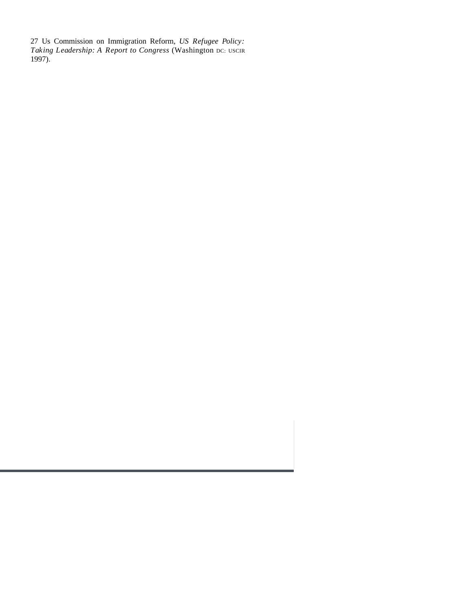27 Us Commission on Immigration Reform, *US Refugee Policy: Taking Leadership: A Report to Congress* (Washington DC: USCIR 1997).